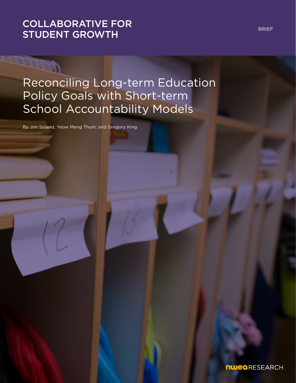# [COLLABORATIVE FOR](https://www.nwea.org/research/collaborative-for-student-growth/)  STUDENT GROWTH

# Reconciling Long-term Education Policy Goals with Short-term School Accountability Models

By Jim Soland, Yeow Meng Thum, and Gregory King

BRIEF

**nwea** RESEARCH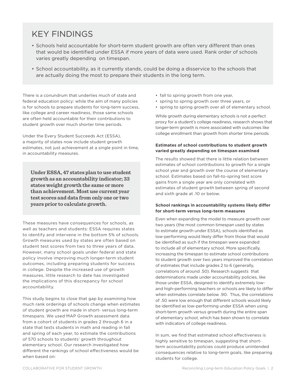# KEY FINDINGS

- Schools held accountable for short-term student growth are often very different than ones that would be identified under ESSA if more years of data were used. Rank order of schools varies greatly depending on timespan.
- School accountability, as it currently stands, could be doing a disservice to the schools that are actually doing the most to prepare their students in the long term.

There is a conundrum that underlies much of state and federal education policy: while the aim of many policies is for schools to prepare students for long-term success, like college and career readiness, those same schools are often held accountable for their contributions to student growth over much shorter time periods.

Under the Every Student Succeeds Act (ESSA), a majority of states now include student growth estimates, not just achievement at a single point in time, in accountability measures.

**Under ESSA, 47 states plan to use student growth as an accountability indicator; 33 states weight growth the same or more than achievement. Most use current year test scores and data from only one or two years prior to calculate growth.**

These measures have consequences for schools, as well as teachers and students: ESSA requires states to identify and intervene in the bottom 5% of schools. Growth measures used by states are often based on student test scores from two to three years of data. However, many school goals under federal and state policy involve improving much longer-term student outcomes, including preparing students for success in college. Despite the increased use of growth measures, little research to date has investigated the implications of this discrepancy for school accountability.

This study begins to close that gap by examining how much rank orderings of schools change when estimates of student growth are made in short- versus long-term timespans. We used MAP Growth assessment data from a cohort of students in grades 2 through 6 in a state that tests students in math and reading in fall and spring of each year, to estimate the contributions of 570 schools to students' growth throughout elementary school. Our research investigated how different the rankings of school effectiveness would be when based on:

- fall to spring growth from one year,
- spring to spring growth over three years, or
- spring to spring growth over all of elementary school.

While growth during elementary schools is not a perfect proxy for a student's college readiness, research shows that longer-term growth is more associated with outcomes like college enrollment than growth from shorter time periods.

#### **Estimates of school contributions to student growth varied greatly depending on timespan examined**

The results showed that there is little relation between estimates of school contributions to growth for a single school year and growth over the course of elementary school. Estimates based on fall-to-spring test score gains from a single year are only correlated with estimates of student growth between spring of second and sixth grade at .10 or below.

#### **School rankings in accountability systems likely differ for short-term versus long-term measures**

Even when expanding the model to measure growth over two years (the most common timespan used by states to estimate growth under ESSA), schools identified as low-performing would likely differ from those that would be identified as such if the timespan were expanded to include all of elementary school. More specifically, increasing the timespan to estimate school contributions to student growth over two years improved the correlation of estimates that include grades 2 to 6 (generally, correlations of around .50). Research suggests that determinations made under accountability policies, like those under ESSA, designed to identify extremely lowand high-performing teachers or schools are likely to differ when estimates correlate below .90. Thus, the correlations of .50 were low enough that different schools would likely be identified as low-performing under ESSA when using short-term growth versus growth during the entire span of elementary school, which has been shown to correlate with indicators of college readiness.

In sum, we find that estimated school effectiveness is highly sensitive to timespan, suggesting that shortterm accountability policies could produce unintended consequences relative to long-term goals, like preparing students for college.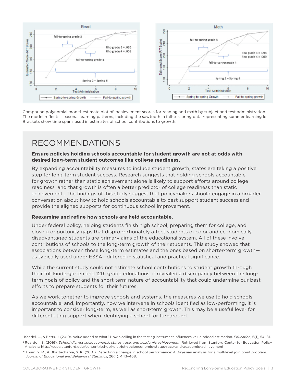

Compound polynomial model-estimate plot of achievement scores for reading and math by subject and test administration. The model reflects seasonal learning patterns, including the sawtooth in fall-to-spring data representing summer learning loss. Brackets show time spans used in estimates of school contributions to growth.

### RECOMMENDATIONS

### **Ensure policies holding schools accountable for student growth are not at odds with desired long-term student outcomes like college readiness.**

By expanding accountability measures to include student growth, states are taking a positive step for long-term student success. Research suggests that holding schools accountable for growth rather than static achievement alone is likely to support efforts around college readiness and that growth is often a better predictor of college readiness than static achievement . The findings of this study suggest that policymakers should engage in a broader conversation about how to hold schools accountable to best support student success and provide the aligned supports for continuous school improvement.

### **Reexamine and refine how schools are held accountable.**

Under federal policy, helping students finish high school, preparing them for college, and closing opportunity gaps that disproportionately affect students of color and economically disadvantaged students are primary aims of the educational system. All of these involve contributions of schools to the long-term growth of their students. This study showed that associations between those long-term estimates and the ones based on shorter-term growth as typically used under ESSA—differed in statistical and practical significance.

While the current study could not estimate school contributions to student growth through their full kindergarten and 12th grade educations, it revealed a discrepancy between the longterm goals of policy and the short-term nature of accountability that could undermine our best efforts to prepare students for their futures.

As we work together to improve schools and systems, the measures we use to hold schools accountable, and, importantly, how we intervene in schools identified as low-performing, it is important to consider long-term, as well as short-term growth. This may be a useful lever for differentiating support when identifying a school for turnaround.

**<sup>i</sup>** Koedel, C., & Betts, J. (2010). Value added to what? How a ceiling in the testing instrument influences value-added estimation. *Education*, 5(1), 54–81. **ii** Reardon, S. (2016). *School district socioeconomic status, race, and academic achievement.* Retrieved from Stanford Center for Education Policy Analysis: http://cepa.stanford.edu/content/school-district-socioeconomic-status-race-and-academic-achievement

**iii** Thum, Y. M., & Bhattacharya, S. K. (2001). Detecting a change in school performance: A Bayesian analysis for a multilevel join point problem. *Journal of Educational and Behavioral Statistics*, 26(4), 443–468.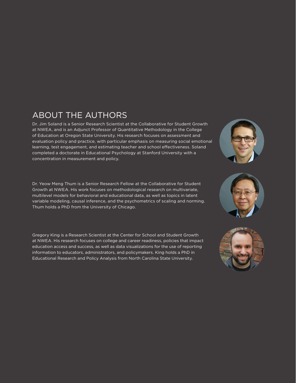# ABOUT THE AUTHORS

Dr. Jim Soland is a Senior Research Scientist at the Collaborative for Student Growth at NWEA, and is an Adjunct Professor of Quantitative Methodology in the College of Education at Oregon State University. His research focuses on assessment and evaluation policy and practice, with particular emphasis on measuring social emotional learning, test engagement, and estimating teacher and school effectiveness. Soland completed a doctorate in Educational Psychology at Stanford University with a concentration in measurement and policy.

Dr. Yeow Meng Thum is a Senior Research Fellow at the Collaborative for Student Growth at NWEA. His work focuses on methodological research on multivariate, multilevel models for behavioral and educational data, as well as topics in latent variable modeling, causal inference, and the psychometrics of scaling and norming. Thum holds a PhD from the University of Chicago.

Gregory King is a Research Scientist at the Center for School and Student Growth at NWEA. His research focuses on college and career readiness, policies that impact education access and success, as well as data visualizations for the use of reporting information to educators, administrators, and policymakers. King holds a PhD in Educational Research and Policy Analysis from North Carolina State University.